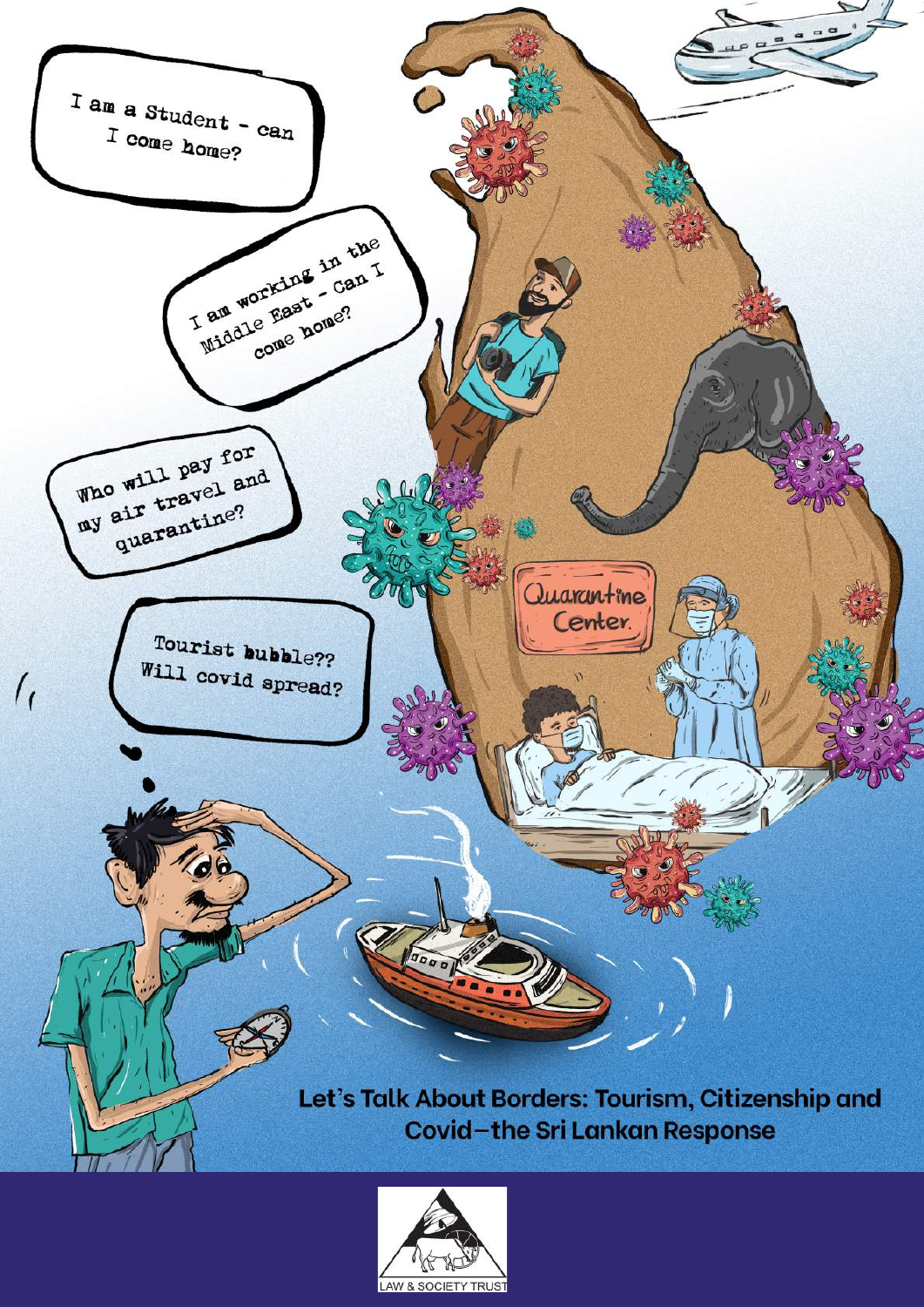

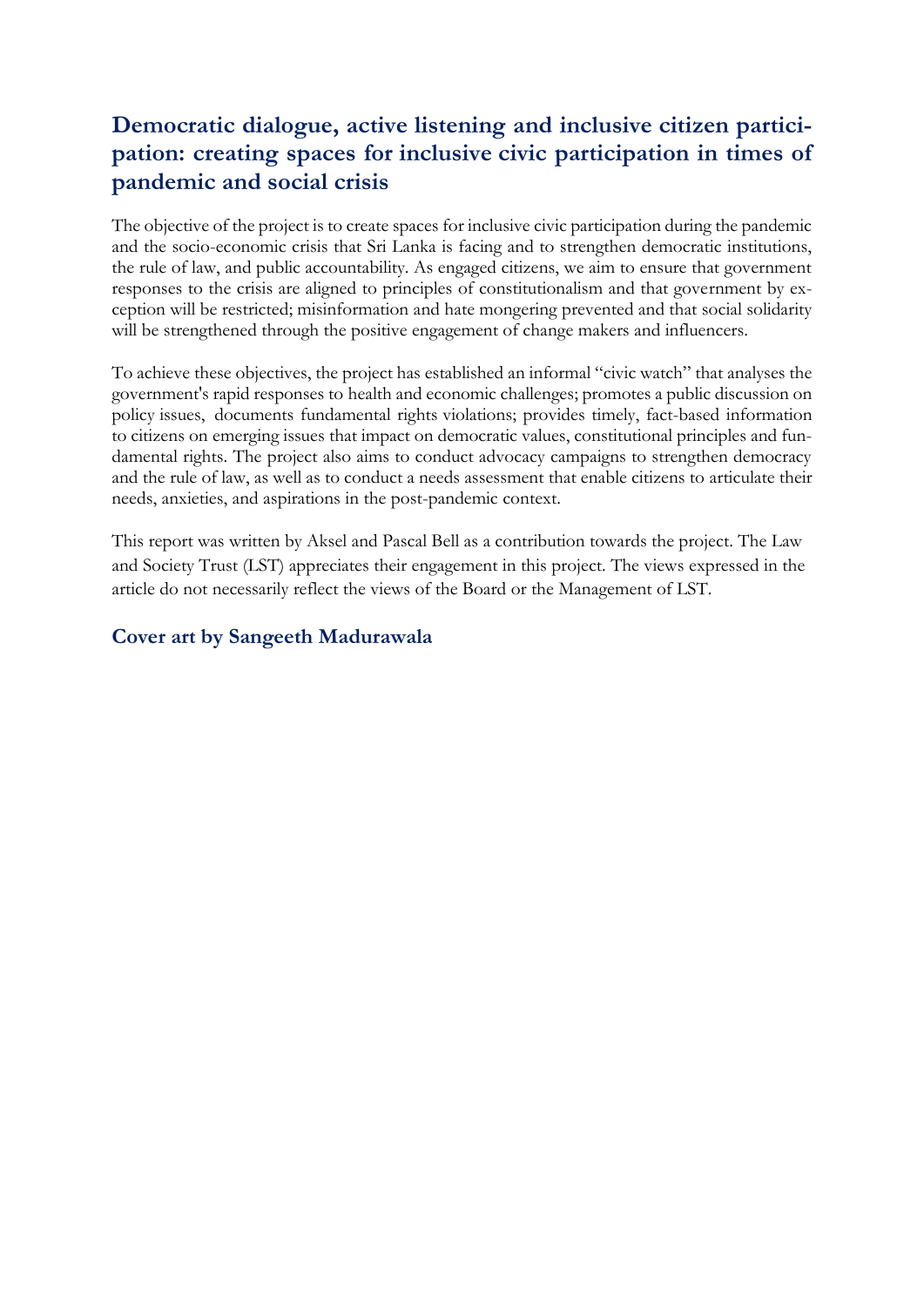## **Democratic dialogue, active listening and inclusive citizen participation: creating spaces for inclusive civic participation in times of pandemic and social crisis**

The objective of the project is to create spaces for inclusive civic participation during the pandemic and the socio-economic crisis that Sri Lanka is facing and to strengthen democratic institutions, the rule of law, and public accountability. As engaged citizens, we aim to ensure that government responses to the crisis are aligned to principles of constitutionalism and that government by exception will be restricted; misinformation and hate mongering prevented and that social solidarity will be strengthened through the positive engagement of change makers and influencers.

To achieve these objectives, the project has established an informal "civic watch" that analyses the government's rapid responses to health and economic challenges; promotes a public discussion on policy issues, documents fundamental rights violations; provides timely, fact-based information to citizens on emerging issues that impact on democratic values, constitutional principles and fundamental rights. The project also aims to conduct advocacy campaigns to strengthen democracy and the rule of law, as well as to conduct a needs assessment that enable citizens to articulate their needs, anxieties, and aspirations in the post-pandemic context.

This report was written by Aksel and Pascal Bell as a contribution towards the project. The Law and Society Trust (LST) appreciates their engagement in this project. The views expressed in the article do not necessarily reflect the views of the Board or the Management of LST.

#### **Cover art by Sangeeth Madurawala**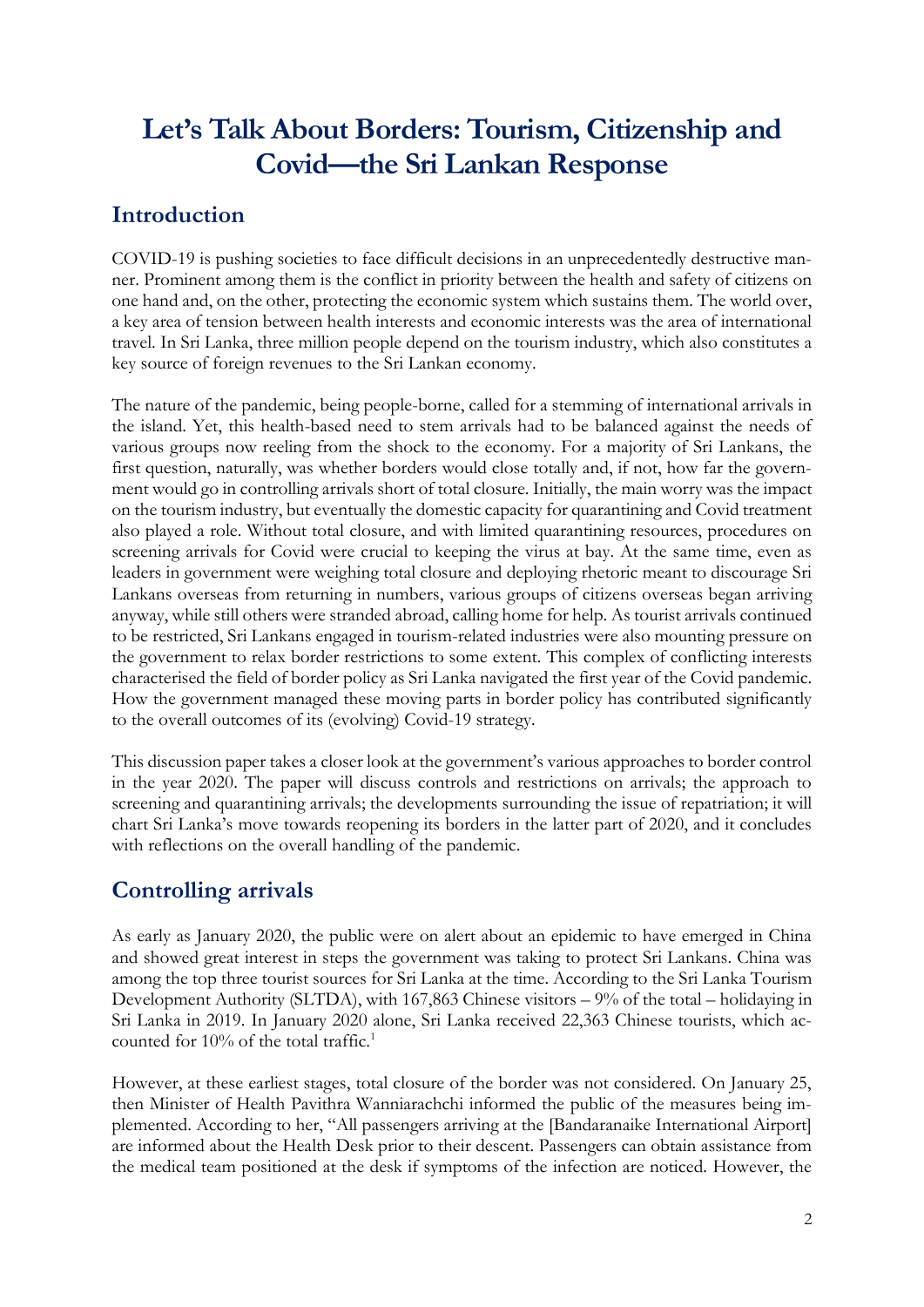# **Let's Talk About Borders: Tourism, Citizenship and Covid—the Sri Lankan Response**

## **Introduction**

COVID-19 is pushing societies to face difficult decisions in an unprecedentedly destructive manner. Prominent among them is the conflict in priority between the health and safety of citizens on one hand and, on the other, protecting the economic system which sustains them. The world over, a key area of tension between health interests and economic interests was the area of international travel. In Sri Lanka, three million people depend on the tourism industry, which also constitutes a key source of foreign revenues to the Sri Lankan economy.

The nature of the pandemic, being people-borne, called for a stemming of international arrivals in the island. Yet, this health-based need to stem arrivals had to be balanced against the needs of various groups now reeling from the shock to the economy. For a majority of Sri Lankans, the first question, naturally, was whether borders would close totally and, if not, how far the government would go in controlling arrivals short of total closure. Initially, the main worry was the impact on the tourism industry, but eventually the domestic capacity for quarantining and Covid treatment also played a role. Without total closure, and with limited quarantining resources, procedures on screening arrivals for Covid were crucial to keeping the virus at bay. At the same time, even as leaders in government were weighing total closure and deploying rhetoric meant to discourage Sri Lankans overseas from returning in numbers, various groups of citizens overseas began arriving anyway, while still others were stranded abroad, calling home for help. As tourist arrivals continued to be restricted, Sri Lankans engaged in tourism-related industries were also mounting pressure on the government to relax border restrictions to some extent. This complex of conflicting interests characterised the field of border policy as Sri Lanka navigated the first year of the Covid pandemic. How the government managed these moving parts in border policy has contributed significantly to the overall outcomes of its (evolving) Covid-19 strategy.

This discussion paper takes a closer look at the government's various approaches to border control in the year 2020. The paper will discuss controls and restrictions on arrivals; the approach to screening and quarantining arrivals; the developments surrounding the issue of repatriation; it will chart Sri Lanka's move towards reopening its borders in the latter part of 2020, and it concludes with reflections on the overall handling of the pandemic.

## **Controlling arrivals**

As early as January 2020, the public were on alert about an epidemic to have emerged in China and showed great interest in steps the government was taking to protect Sri Lankans. China was among the top three tourist sources for Sri Lanka at the time. According to the Sri Lanka Tourism Development Authority (SLTDA), with 167,863 Chinese visitors – 9% of the total – holidaying in Sri Lanka in 2019. In January 2020 alone, Sri Lanka received 22,363 Chinese tourists, which accounted for  $10\%$  of the total traffic.<sup>1</sup>

However, at these earliest stages, total closure of the border was not considered. On January 25, then Minister of Health Pavithra Wanniarachchi informed the public of the measures being implemented. According to her, "All passengers arriving at the [Bandaranaike International Airport] are informed about the Health Desk prior to their descent. Passengers can obtain assistance from the medical team positioned at the desk if symptoms of the infection are noticed. However, the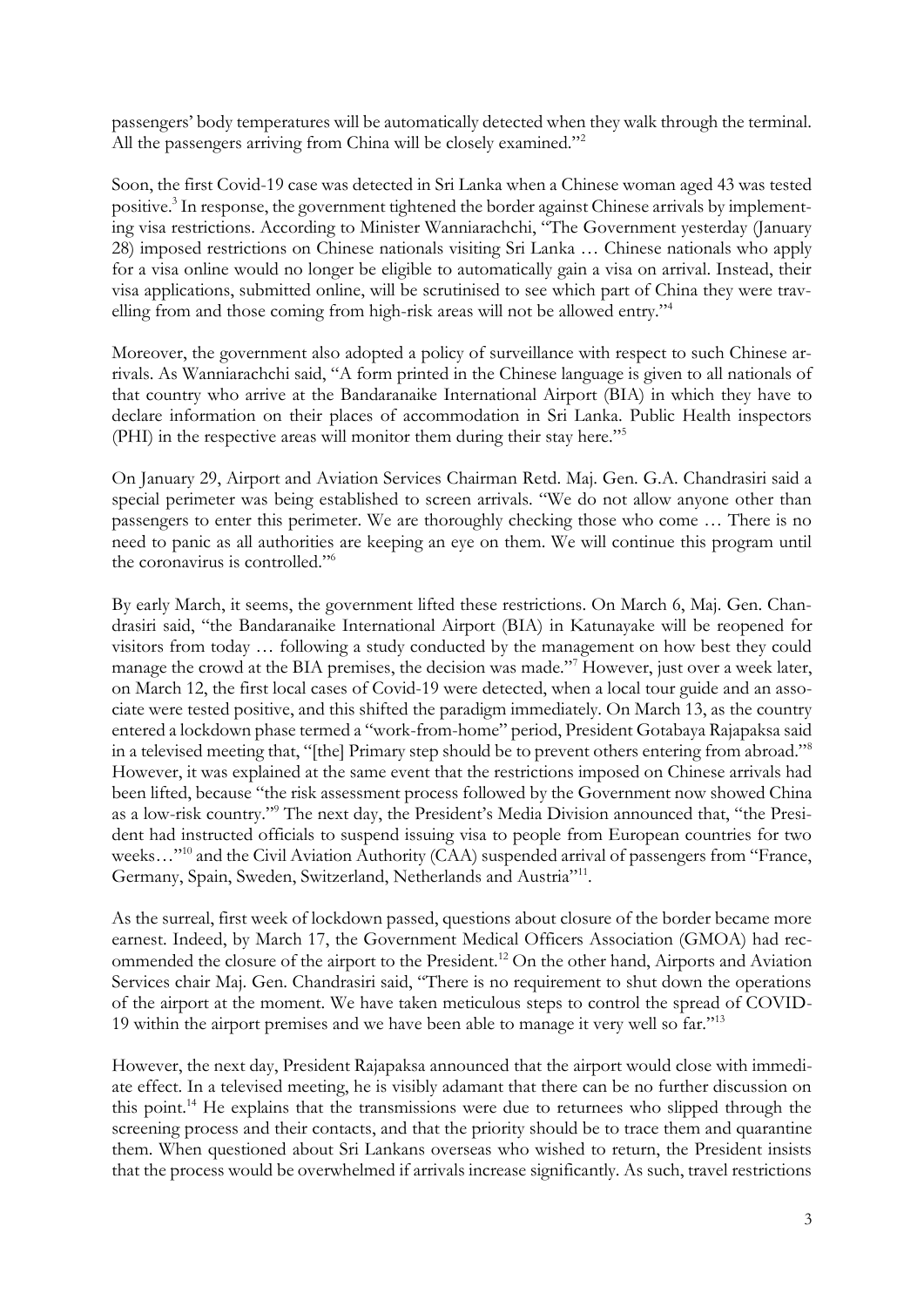passengers' body temperatures will be automatically detected when they walk through the terminal. All the passengers arriving from China will be closely examined."<sup>2</sup>

Soon, the first Covid-19 case was detected in Sri Lanka when a Chinese woman aged 43 was tested positive.<sup>3</sup> In response, the government tightened the border against Chinese arrivals by implementing visa restrictions. According to Minister Wanniarachchi, "The Government yesterday (January 28) imposed restrictions on Chinese nationals visiting Sri Lanka … Chinese nationals who apply for a visa online would no longer be eligible to automatically gain a visa on arrival. Instead, their visa applications, submitted online, will be scrutinised to see which part of China they were travelling from and those coming from high-risk areas will not be allowed entry."<sup>4</sup>

Moreover, the government also adopted a policy of surveillance with respect to such Chinese arrivals. As Wanniarachchi said, "A form printed in the Chinese language is given to all nationals of that country who arrive at the Bandaranaike International Airport (BIA) in which they have to declare information on their places of accommodation in Sri Lanka. Public Health inspectors (PHI) in the respective areas will monitor them during their stay here."<sup>5</sup>

On January 29, Airport and Aviation Services Chairman Retd. Maj. Gen. G.A. Chandrasiri said a special perimeter was being established to screen arrivals. "We do not allow anyone other than passengers to enter this perimeter. We are thoroughly checking those who come … There is no need to panic as all authorities are keeping an eye on them. We will continue this program until the coronavirus is controlled."<sup>6</sup>

By early March, it seems, the government lifted these restrictions. On March 6, Maj. Gen. Chandrasiri said, "the Bandaranaike International Airport (BIA) in Katunayake will be reopened for visitors from today … following a study conducted by the management on how best they could manage the crowd at the BIA premises, the decision was made."<sup>7</sup> However, just over a week later, on March 12, the first local cases of Covid-19 were detected, when a local tour guide and an associate were tested positive, and this shifted the paradigm immediately. On March 13, as the country entered a lockdown phase termed a "work-from-home" period, President Gotabaya Rajapaksa said in a televised meeting that, "[the] Primary step should be to prevent others entering from abroad."<sup>8</sup> However, it was explained at the same event that the restrictions imposed on Chinese arrivals had been lifted, because "the risk assessment process followed by the Government now showed China as a low-risk country."<sup>9</sup> The next day, the President's Media Division announced that, "the President had instructed officials to suspend issuing visa to people from European countries for two weeks..."<sup>10</sup> and the Civil Aviation Authority (CAA) suspended arrival of passengers from "France, Germany, Spain, Sweden, Switzerland, Netherlands and Austria"<sup>11</sup>.

As the surreal, first week of lockdown passed, questions about closure of the border became more earnest. Indeed, by March 17, the Government Medical Officers Association (GMOA) had recommended the closure of the airport to the President.<sup>12</sup> On the other hand, Airports and Aviation Services chair Maj. Gen. Chandrasiri said, "There is no requirement to shut down the operations of the airport at the moment. We have taken meticulous steps to control the spread of COVID-19 within the airport premises and we have been able to manage it very well so far."<sup>13</sup>

However, the next day, President Rajapaksa announced that the airport would close with immediate effect. In a televised meeting, he is visibly adamant that there can be no further discussion on this point.<sup>14</sup> He explains that the transmissions were due to returnees who slipped through the screening process and their contacts, and that the priority should be to trace them and quarantine them. When questioned about Sri Lankans overseas who wished to return, the President insists that the process would be overwhelmed if arrivals increase significantly. As such, travel restrictions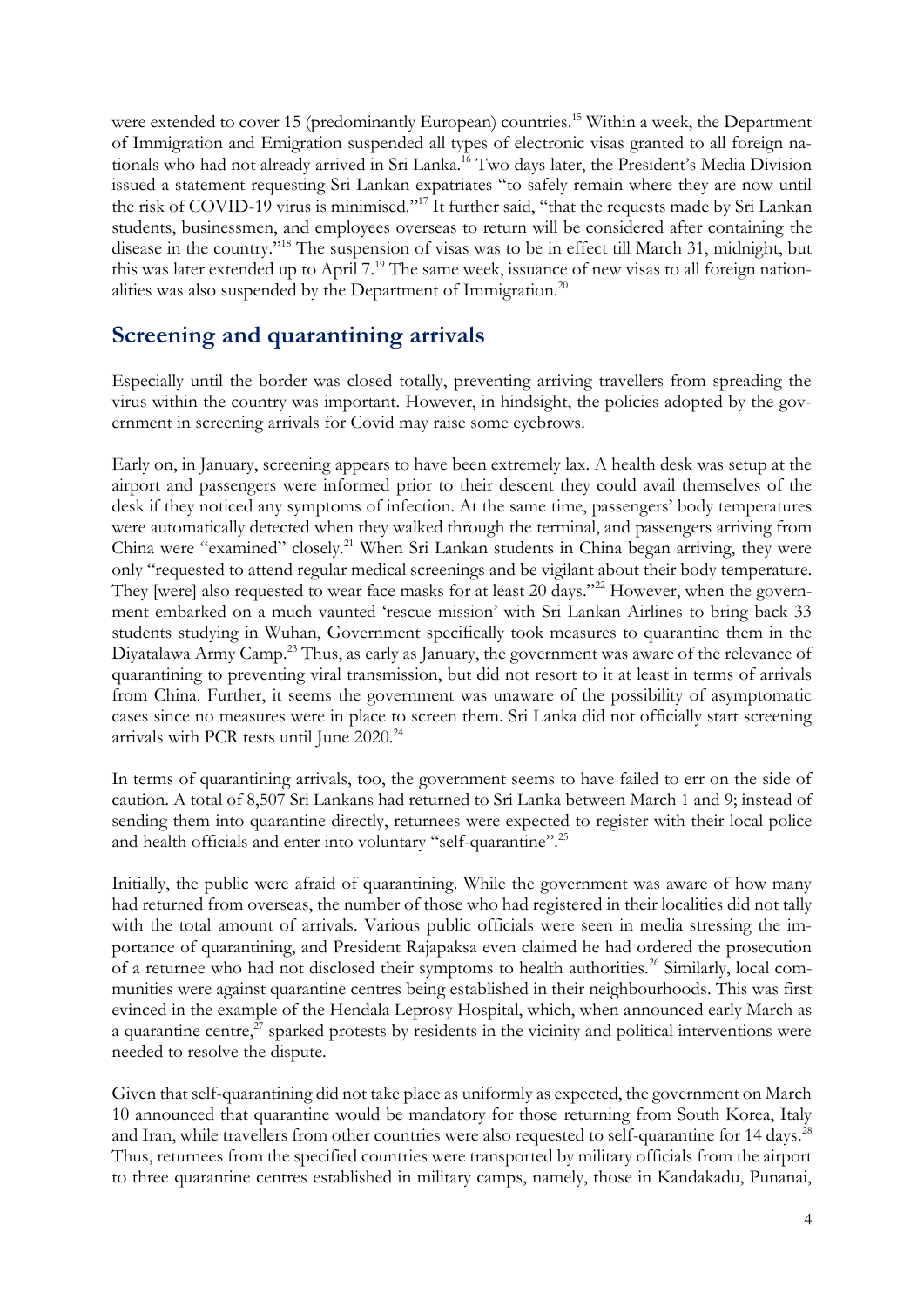were extended to cover 15 (predominantly European) countries.<sup>15</sup> Within a week, the Department of Immigration and Emigration suspended all types of electronic visas granted to all foreign nationals who had not already arrived in Sri Lanka.<sup>16</sup> Two days later, the President's Media Division issued a statement requesting Sri Lankan expatriates "to safely remain where they are now until the risk of COVID-19 virus is minimised."<sup>17</sup> It further said, "that the requests made by Sri Lankan students, businessmen, and employees overseas to return will be considered after containing the disease in the country."<sup>18</sup> The suspension of visas was to be in effect till March 31, midnight, but this was later extended up to April 7.<sup>19</sup> The same week, issuance of new visas to all foreign nationalities was also suspended by the Department of Immigration.<sup>20</sup>

### **Screening and quarantining arrivals**

Especially until the border was closed totally, preventing arriving travellers from spreading the virus within the country was important. However, in hindsight, the policies adopted by the government in screening arrivals for Covid may raise some eyebrows.

Early on, in January, screening appears to have been extremely lax. A health desk was setup at the airport and passengers were informed prior to their descent they could avail themselves of the desk if they noticed any symptoms of infection. At the same time, passengers' body temperatures were automatically detected when they walked through the terminal, and passengers arriving from China were "examined" closely.<sup>21</sup> When Sri Lankan students in China began arriving, they were only "requested to attend regular medical screenings and be vigilant about their body temperature. They [were] also requested to wear face masks for at least 20 days."<sup>22</sup> However, when the government embarked on a much vaunted 'rescue mission' with Sri Lankan Airlines to bring back 33 students studying in Wuhan, Government specifically took measures to quarantine them in the Diyatalawa Army Camp.<sup>23</sup> Thus, as early as January, the government was aware of the relevance of quarantining to preventing viral transmission, but did not resort to it at least in terms of arrivals from China. Further, it seems the government was unaware of the possibility of asymptomatic cases since no measures were in place to screen them. Sri Lanka did not officially start screening arrivals with PCR tests until June 2020.<sup>24</sup>

In terms of quarantining arrivals, too, the government seems to have failed to err on the side of caution. A total of 8,507 Sri Lankans had returned to Sri Lanka between March 1 and 9; instead of sending them into quarantine directly, returnees were expected to register with their local police and health officials and enter into voluntary "self-quarantine".<sup>25</sup>

Initially, the public were afraid of quarantining. While the government was aware of how many had returned from overseas, the number of those who had registered in their localities did not tally with the total amount of arrivals. Various public officials were seen in media stressing the importance of quarantining, and President Rajapaksa even claimed he had ordered the prosecution of a returnee who had not disclosed their symptoms to health authorities.<sup>26</sup> Similarly, local communities were against quarantine centres being established in their neighbourhoods. This was first evinced in the example of the Hendala Leprosy Hospital, which, when announced early March as a quarantine centre, $^{27}$  sparked protests by residents in the vicinity and political interventions were needed to resolve the dispute.

Given that self-quarantining did not take place as uniformly as expected, the government on March 10 announced that quarantine would be mandatory for those returning from South Korea, Italy and Iran, while travellers from other countries were also requested to self-quarantine for 14 days.<sup>28</sup> Thus, returnees from the specified countries were transported by military officials from the airport to three quarantine centres established in military camps, namely, those in Kandakadu, Punanai,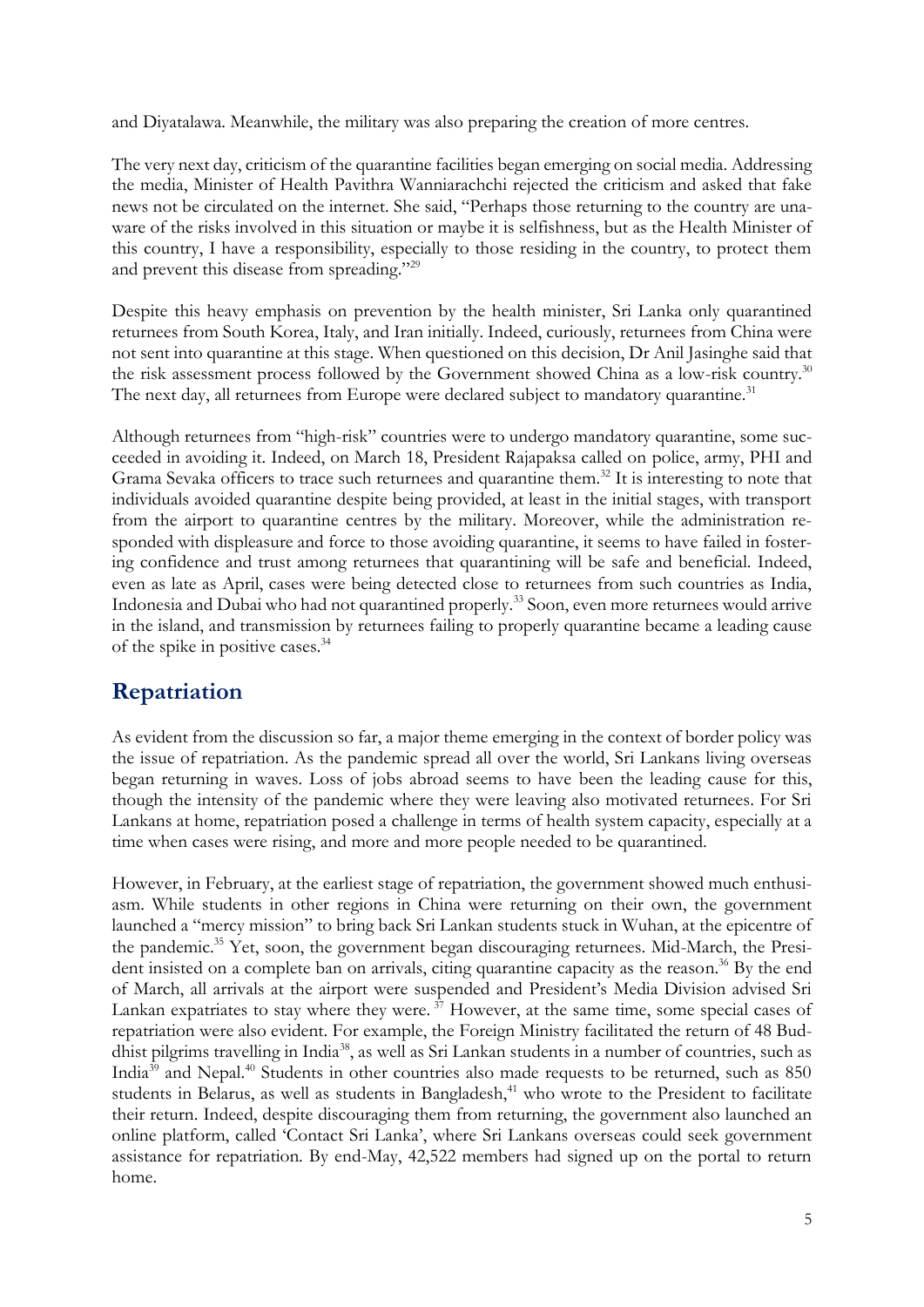and Diyatalawa. Meanwhile, the military was also preparing the creation of more centres.

The very next day, criticism of the quarantine facilities began emerging on social media. Addressing the media, Minister of Health Pavithra Wanniarachchi rejected the criticism and asked that fake news not be circulated on the internet. She said, "Perhaps those returning to the country are unaware of the risks involved in this situation or maybe it is selfishness, but as the Health Minister of this country, I have a responsibility, especially to those residing in the country, to protect them and prevent this disease from spreading."<sup>29</sup>

Despite this heavy emphasis on prevention by the health minister, Sri Lanka only quarantined returnees from South Korea, Italy, and Iran initially. Indeed, curiously, returnees from China were not sent into quarantine at this stage. When questioned on this decision, Dr Anil Jasinghe said that the risk assessment process followed by the Government showed China as a low-risk country.<sup>30</sup> The next day, all returnees from Europe were declared subject to mandatory quarantine.<sup>31</sup>

Although returnees from "high-risk" countries were to undergo mandatory quarantine, some succeeded in avoiding it. Indeed, on March 18, President Rajapaksa called on police, army, PHI and Grama Sevaka officers to trace such returnees and quarantine them.<sup>32</sup> It is interesting to note that individuals avoided quarantine despite being provided, at least in the initial stages, with transport from the airport to quarantine centres by the military. Moreover, while the administration responded with displeasure and force to those avoiding quarantine, it seems to have failed in fostering confidence and trust among returnees that quarantining will be safe and beneficial. Indeed, even as late as April, cases were being detected close to returnees from such countries as India, Indonesia and Dubai who had not quarantined properly.<sup>33</sup> Soon, even more returnees would arrive in the island, and transmission by returnees failing to properly quarantine became a leading cause of the spike in positive cases.<sup>34</sup>

## **Repatriation**

As evident from the discussion so far, a major theme emerging in the context of border policy was the issue of repatriation. As the pandemic spread all over the world, Sri Lankans living overseas began returning in waves. Loss of jobs abroad seems to have been the leading cause for this, though the intensity of the pandemic where they were leaving also motivated returnees. For Sri Lankans at home, repatriation posed a challenge in terms of health system capacity, especially at a time when cases were rising, and more and more people needed to be quarantined.

However, in February, at the earliest stage of repatriation, the government showed much enthusiasm. While students in other regions in China were returning on their own, the government launched a "mercy mission" to bring back Sri Lankan students stuck in Wuhan, at the epicentre of the pandemic.<sup>35</sup> Yet, soon, the government began discouraging returnees. Mid-March, the President insisted on a complete ban on arrivals, citing quarantine capacity as the reason.<sup>36</sup> By the end of March, all arrivals at the airport were suspended and President's Media Division advised Sri Lankan expatriates to stay where they were.<sup>37</sup> However, at the same time, some special cases of repatriation were also evident. For example, the Foreign Ministry facilitated the return of 48 Buddhist pilgrims travelling in India<sup>38</sup>, as well as Sri Lankan students in a number of countries, such as India<sup>39</sup> and Nepal.<sup>40</sup> Students in other countries also made requests to be returned, such as 850 students in Belarus, as well as students in Bangladesh,<sup>41</sup> who wrote to the President to facilitate their return. Indeed, despite discouraging them from returning, the government also launched an online platform, called 'Contact Sri Lanka', where Sri Lankans overseas could seek government assistance for repatriation. By end-May, 42,522 members had signed up on the portal to return home.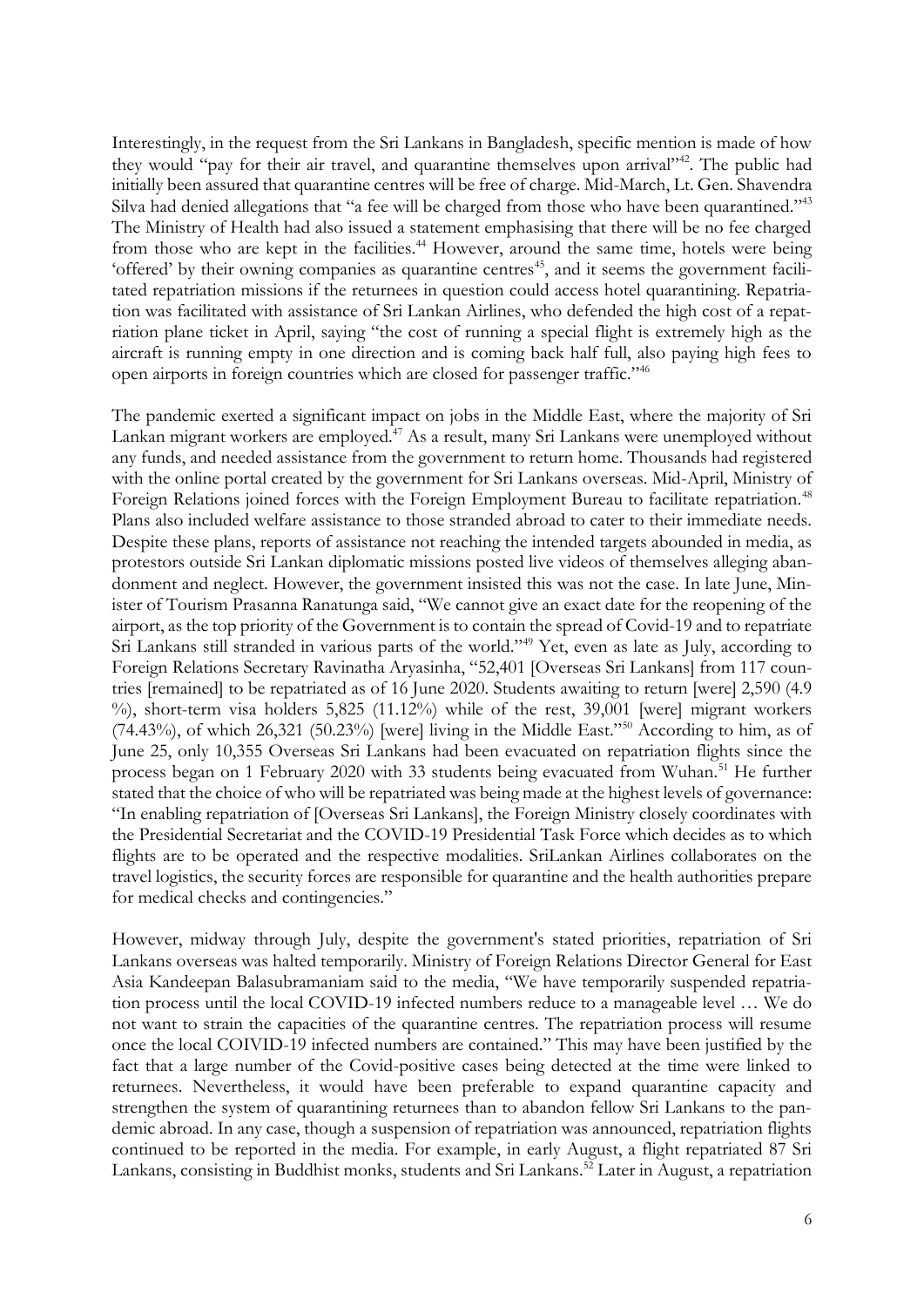Interestingly, in the request from the Sri Lankans in Bangladesh, specific mention is made of how they would "pay for their air travel, and quarantine themselves upon arrival"<sup>42</sup>. The public had initially been assured that quarantine centres will be free of charge. Mid-March, Lt. Gen. Shavendra Silva had denied allegations that "a fee will be charged from those who have been quarantined."<sup>43</sup> The Ministry of Health had also issued a statement emphasising that there will be no fee charged from those who are kept in the facilities.<sup>44</sup> However, around the same time, hotels were being 'offered' by their owning companies as quarantine centres<sup>45</sup>, and it seems the government facilitated repatriation missions if the returnees in question could access hotel quarantining. Repatriation was facilitated with assistance of Sri Lankan Airlines, who defended the high cost of a repatriation plane ticket in April, saying "the cost of running a special flight is extremely high as the aircraft is running empty in one direction and is coming back half full, also paying high fees to open airports in foreign countries which are closed for passenger traffic."<sup>46</sup>

The pandemic exerted a significant impact on jobs in the Middle East, where the majority of Sri Lankan migrant workers are employed.<sup>47</sup> As a result, many Sri Lankans were unemployed without any funds, and needed assistance from the government to return home. Thousands had registered with the online portal created by the government for Sri Lankans overseas. Mid-April, Ministry of Foreign Relations joined forces with the Foreign Employment Bureau to facilitate repatriation.<sup>48</sup> Plans also included welfare assistance to those stranded abroad to cater to their immediate needs. Despite these plans, reports of assistance not reaching the intended targets abounded in media, as protestors outside Sri Lankan diplomatic missions posted live videos of themselves alleging abandonment and neglect. However, the government insisted this was not the case. In late June, Minister of Tourism Prasanna Ranatunga said, "We cannot give an exact date for the reopening of the airport, as the top priority of the Government is to contain the spread of Covid-19 and to repatriate Sri Lankans still stranded in various parts of the world."<sup>49</sup> Yet, even as late as July, according to Foreign Relations Secretary Ravinatha Aryasinha, "52,401 [Overseas Sri Lankans] from 117 countries [remained] to be repatriated as of 16 June 2020. Students awaiting to return [were] 2,590 (4.9 %), short-term visa holders 5,825 (11.12%) while of the rest, 39,001 [werel migrant workers (74.43%), of which 26,321 (50.23%) [were] living in the Middle East."<sup>50</sup> According to him, as of June 25, only 10,355 Overseas Sri Lankans had been evacuated on repatriation flights since the process began on 1 February 2020 with 33 students being evacuated from Wuhan.<sup>51</sup> He further stated that the choice of who will be repatriated was being made at the highest levels of governance: "In enabling repatriation of [Overseas Sri Lankans], the Foreign Ministry closely coordinates with the Presidential Secretariat and the COVID-19 Presidential Task Force which decides as to which flights are to be operated and the respective modalities. SriLankan Airlines collaborates on the travel logistics, the security forces are responsible for quarantine and the health authorities prepare for medical checks and contingencies."

However, midway through July, despite the government's stated priorities, repatriation of Sri Lankans overseas was halted temporarily. Ministry of Foreign Relations Director General for East Asia Kandeepan Balasubramaniam said to the media, "We have temporarily suspended repatriation process until the local COVID-19 infected numbers reduce to a manageable level … We do not want to strain the capacities of the quarantine centres. The repatriation process will resume once the local COIVID-19 infected numbers are contained." This may have been justified by the fact that a large number of the Covid-positive cases being detected at the time were linked to returnees. Nevertheless, it would have been preferable to expand quarantine capacity and strengthen the system of quarantining returnees than to abandon fellow Sri Lankans to the pandemic abroad. In any case, though a suspension of repatriation was announced, repatriation flights continued to be reported in the media. For example, in early August, a flight repatriated 87 Sri Lankans, consisting in Buddhist monks, students and Sri Lankans.<sup>52</sup> Later in August, a repatriation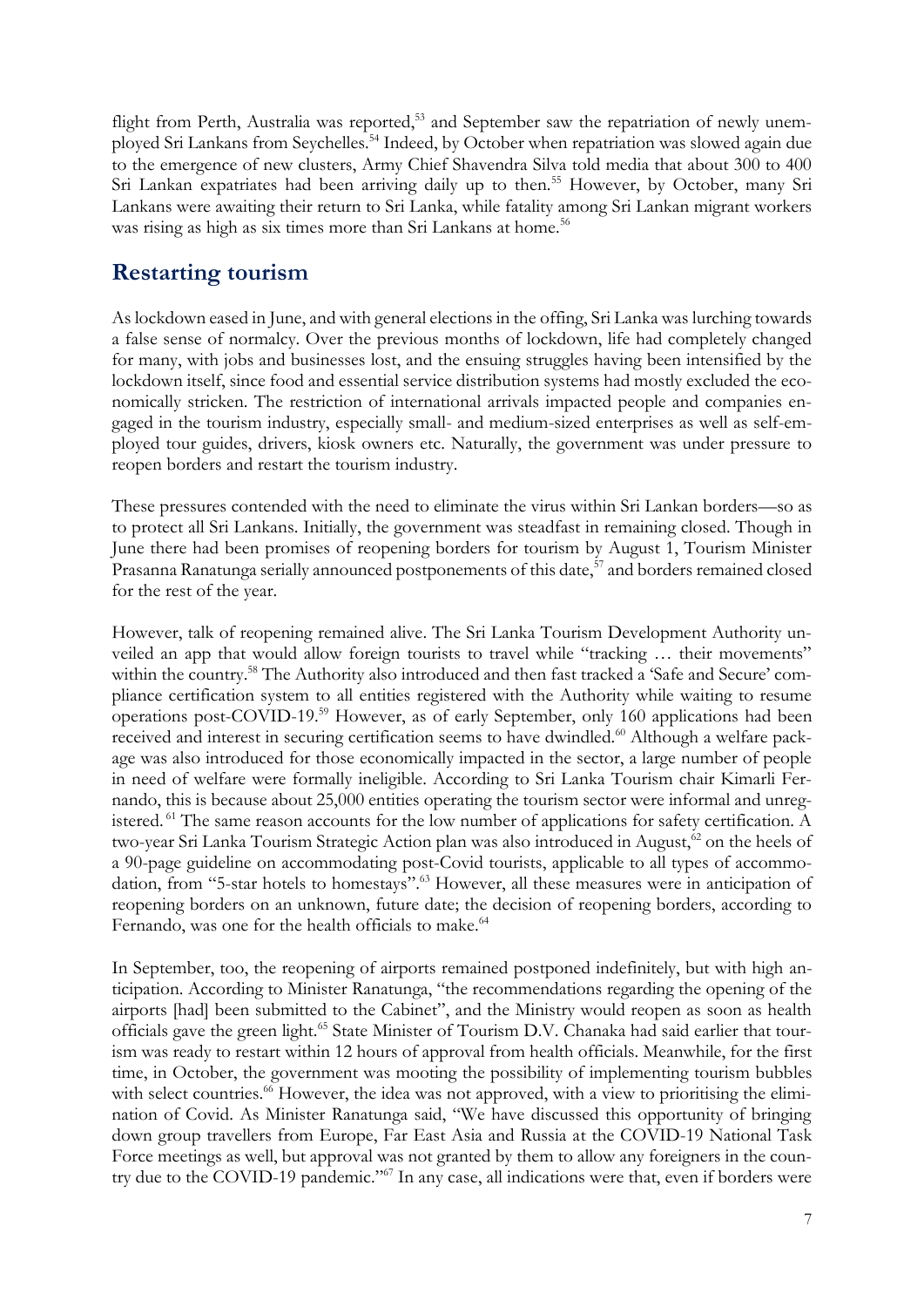flight from Perth, Australia was reported,<sup>53</sup> and September saw the repatriation of newly unemployed Sri Lankans from Seychelles.<sup>54</sup> Indeed, by October when repatriation was slowed again due to the emergence of new clusters, Army Chief Shavendra Silva told media that about 300 to 400 Sri Lankan expatriates had been arriving daily up to then.<sup>55</sup> However, by October, many Sri Lankans were awaiting their return to Sri Lanka, while fatality among Sri Lankan migrant workers was rising as high as six times more than Sri Lankans at home.<sup>56</sup>

### **Restarting tourism**

As lockdown eased in June, and with general elections in the offing, Sri Lanka was lurching towards a false sense of normalcy. Over the previous months of lockdown, life had completely changed for many, with jobs and businesses lost, and the ensuing struggles having been intensified by the lockdown itself, since food and essential service distribution systems had mostly excluded the economically stricken. The restriction of international arrivals impacted people and companies engaged in the tourism industry, especially small- and medium-sized enterprises as well as self-employed tour guides, drivers, kiosk owners etc. Naturally, the government was under pressure to reopen borders and restart the tourism industry.

These pressures contended with the need to eliminate the virus within Sri Lankan borders—so as to protect all Sri Lankans. Initially, the government was steadfast in remaining closed. Though in June there had been promises of reopening borders for tourism by August 1, Tourism Minister Prasanna Ranatunga serially announced postponements of this date,<sup>57</sup> and borders remained closed for the rest of the year.

However, talk of reopening remained alive. The Sri Lanka Tourism Development Authority unveiled an app that would allow foreign tourists to travel while "tracking … their movements" within the country.<sup>58</sup> The Authority also introduced and then fast tracked a 'Safe and Secure' compliance certification system to all entities registered with the Authority while waiting to resume operations post-COVID-19.<sup>59</sup> However, as of early September, only 160 applications had been received and interest in securing certification seems to have dwindled.<sup>60</sup> Although a welfare package was also introduced for those economically impacted in the sector, a large number of people in need of welfare were formally ineligible. According to Sri Lanka Tourism chair Kimarli Fernando, this is because about 25,000 entities operating the tourism sector were informal and unregistered. <sup>61</sup> The same reason accounts for the low number of applications for safety certification. A two-year Sri Lanka Tourism Strategic Action plan was also introduced in August,<sup>62</sup> on the heels of a 90-page guideline on accommodating post-Covid tourists, applicable to all types of accommodation, from "5-star hotels to homestays".<sup>63</sup> However, all these measures were in anticipation of reopening borders on an unknown, future date; the decision of reopening borders, according to Fernando, was one for the health officials to make.<sup>64</sup>

In September, too, the reopening of airports remained postponed indefinitely, but with high anticipation. According to Minister Ranatunga, "the recommendations regarding the opening of the airports [had] been submitted to the Cabinet", and the Ministry would reopen as soon as health officials gave the green light.<sup>65</sup> State Minister of Tourism D.V. Chanaka had said earlier that tourism was ready to restart within 12 hours of approval from health officials. Meanwhile, for the first time, in October, the government was mooting the possibility of implementing tourism bubbles with select countries.<sup>66</sup> However, the idea was not approved, with a view to prioritising the elimination of Covid. As Minister Ranatunga said, "We have discussed this opportunity of bringing down group travellers from Europe, Far East Asia and Russia at the COVID-19 National Task Force meetings as well, but approval was not granted by them to allow any foreigners in the country due to the COVID-19 pandemic."<sup>67</sup> In any case, all indications were that, even if borders were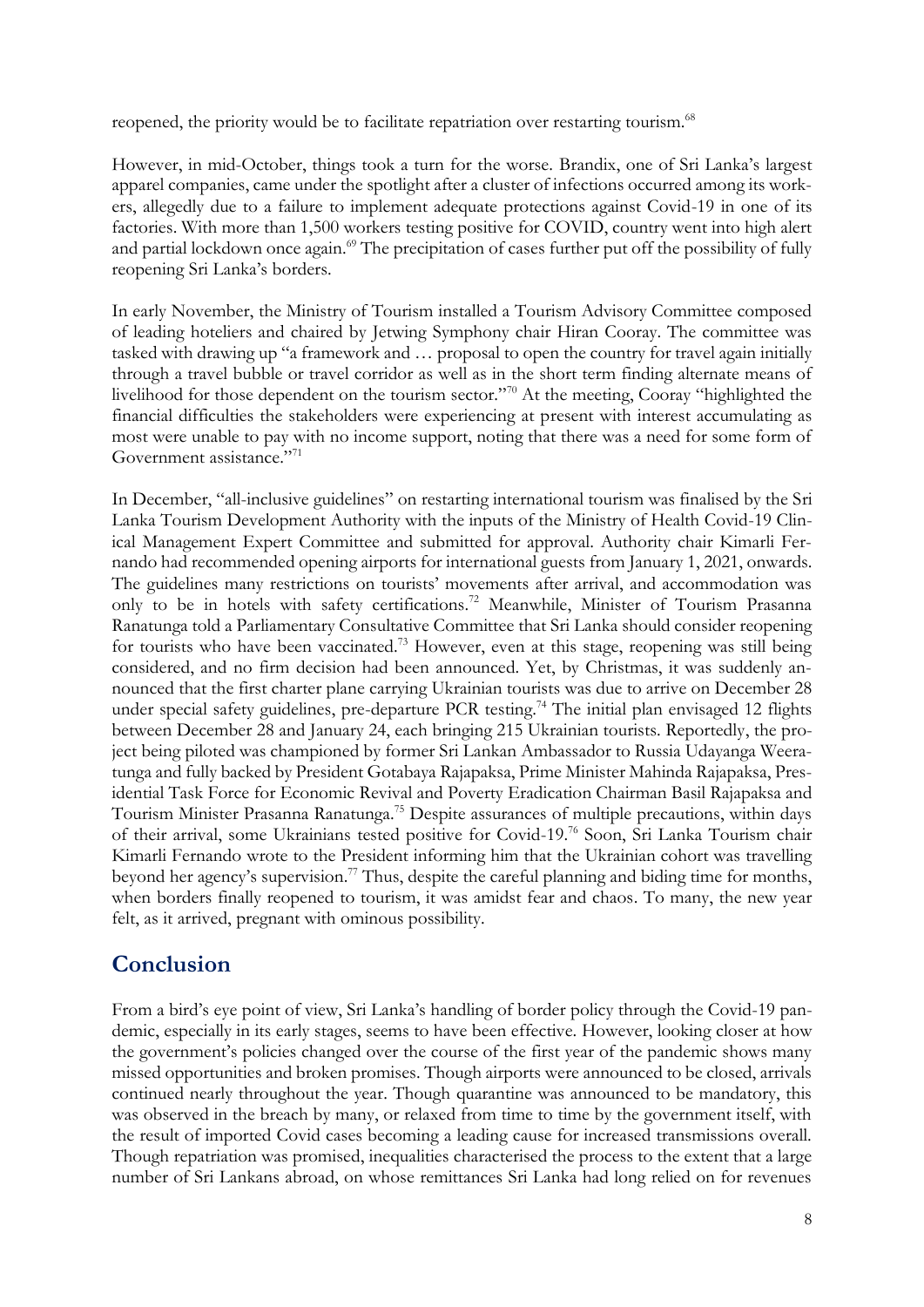reopened, the priority would be to facilitate repatriation over restarting tourism.<sup>68</sup>

However, in mid-October, things took a turn for the worse. [Brandix](https://www.reuters.com/article/us-health-coronavirus-sri-lanka-workers/garment-workers-on-front-line-of-sri-lanka-coronavirus-outbreak-idUSKBN27K08Z), one of Sri Lanka's largest apparel companies, came under the spotlight after a cluster of infections occurred among its workers, allegedly due to a failure to implement adequate protections against Covid-19 in one of its factories. With more than 1,500 workers testing positive for COVID, country went into high alert and partial lockdown once again.<sup>69</sup> The precipitation of cases further put off the possibility of fully reopening Sri Lanka's borders.

In early November, the Ministry of Tourism installed a Tourism Advisory Committee composed of leading hoteliers and chaired by Jetwing Symphony chair Hiran Cooray. The committee was tasked with drawing up "a framework and … proposal to open the country for travel again initially through a travel bubble or travel corridor as well as in the short term finding alternate means of livelihood for those dependent on the tourism sector."<sup>70</sup> At the meeting, Cooray "highlighted the financial difficulties the stakeholders were experiencing at present with interest accumulating as most were unable to pay with no income support, noting that there was a need for some form of Government assistance."<sup>71</sup>

In December, "all-inclusive guidelines" on restarting international tourism was finalised by the Sri Lanka Tourism Development Authority with the inputs of the Ministry of Health Covid-19 Clinical Management Expert Committee and submitted for approval. Authority chair Kimarli Fernando had recommended opening airports for international guests from January 1, 2021, onwards. The guidelines many restrictions on tourists' movements after arrival, and accommodation was only to be in hotels with safety certifications.<sup>72</sup> Meanwhile, Minister of Tourism Prasanna Ranatunga told a Parliamentary Consultative Committee that Sri Lanka should consider reopening for tourists who have been vaccinated.<sup>73</sup> However, even at this stage, reopening was still being considered, and no firm decision had been announced. Yet, by Christmas, it was suddenly announced that the first charter plane carrying Ukrainian tourists was due to arrive on December 28 under special safety guidelines, pre-departure PCR testing.<sup>74</sup> The initial plan envisaged 12 flights between December 28 and January 24, each bringing 215 Ukrainian tourists. Reportedly, the project being piloted was championed by former Sri Lankan Ambassador to Russia Udayanga Weeratunga and fully backed by President Gotabaya Rajapaksa, Prime Minister Mahinda Rajapaksa, Presidential Task Force for Economic Revival and Poverty Eradication Chairman Basil Rajapaksa and Tourism Minister Prasanna Ranatunga.<sup>75</sup> Despite assurances of multiple precautions, within days of their arrival, some Ukrainians tested positive for Covid-19.<sup>76</sup> Soon, Sri Lanka Tourism chair Kimarli Fernando wrote to the President informing him that the Ukrainian cohort was travelling beyond her agency's supervision.<sup>77</sup> Thus, despite the careful planning and biding time for months, when borders finally reopened to tourism, it was amidst fear and chaos. To many, the new year felt, as it arrived, pregnant with ominous possibility.

#### **Conclusion**

From a bird's eye point of view, Sri Lanka's handling of border policy through the Covid-19 pandemic, especially in its early stages, seems to have been effective. However, looking closer at how the government's policies changed over the course of the first year of the pandemic shows many missed opportunities and broken promises. Though airports were announced to be closed, arrivals continued nearly throughout the year. Though quarantine was announced to be mandatory, this was observed in the breach by many, or relaxed from time to time by the government itself, with the result of imported Covid cases becoming a leading cause for increased transmissions overall. Though repatriation was promised, inequalities characterised the process to the extent that a large number of Sri Lankans abroad, on whose remittances Sri Lanka had long relied on for revenues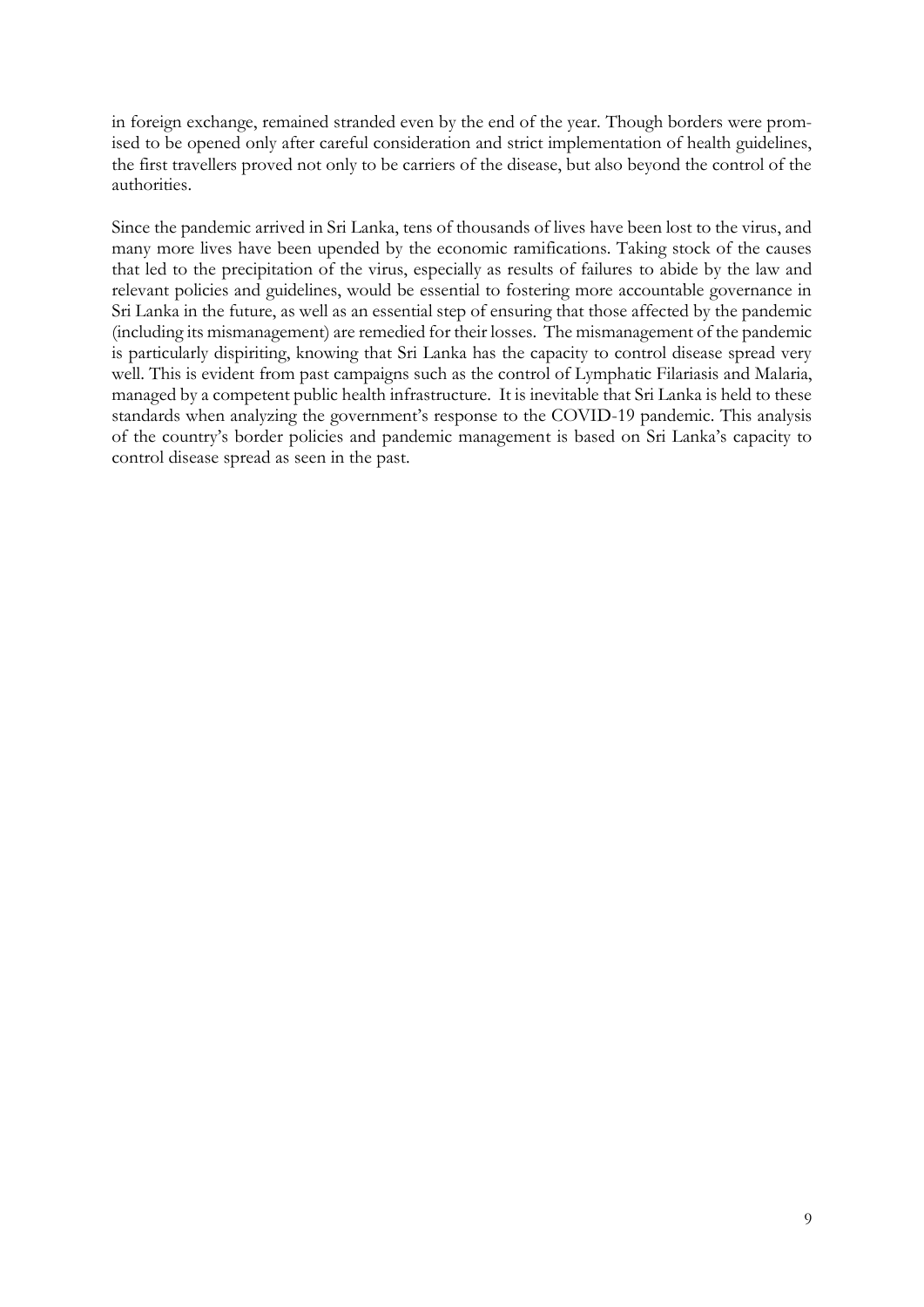in foreign exchange, remained stranded even by the end of the year. Though borders were promised to be opened only after careful consideration and strict implementation of health guidelines, the first travellers proved not only to be carriers of the disease, but also beyond the control of the authorities.

Since the pandemic arrived in Sri Lanka, tens of thousands of lives have been lost to the virus, and many more lives have been upended by the economic ramifications. Taking stock of the causes that led to the precipitation of the virus, especially as results of failures to abide by the law and relevant policies and guidelines, would be essential to fostering more accountable governance in Sri Lanka in the future, as well as an essential step of ensuring that those affected by the pandemic (including its mismanagement) are remedied for their losses. The mismanagement of the pandemic is particularly dispiriting, knowing that Sri Lanka has the capacity to control disease spread very well. This is evident from past campaigns such as the control of Lymphatic Filariasis and Malaria, managed by a competent public health infrastructure. It is inevitable that Sri Lanka is held to these standards when analyzing the government's response to the COVID-19 pandemic. This analysis of the country's border policies and pandemic management is based on Sri Lanka's capacity to control disease spread as seen in the past.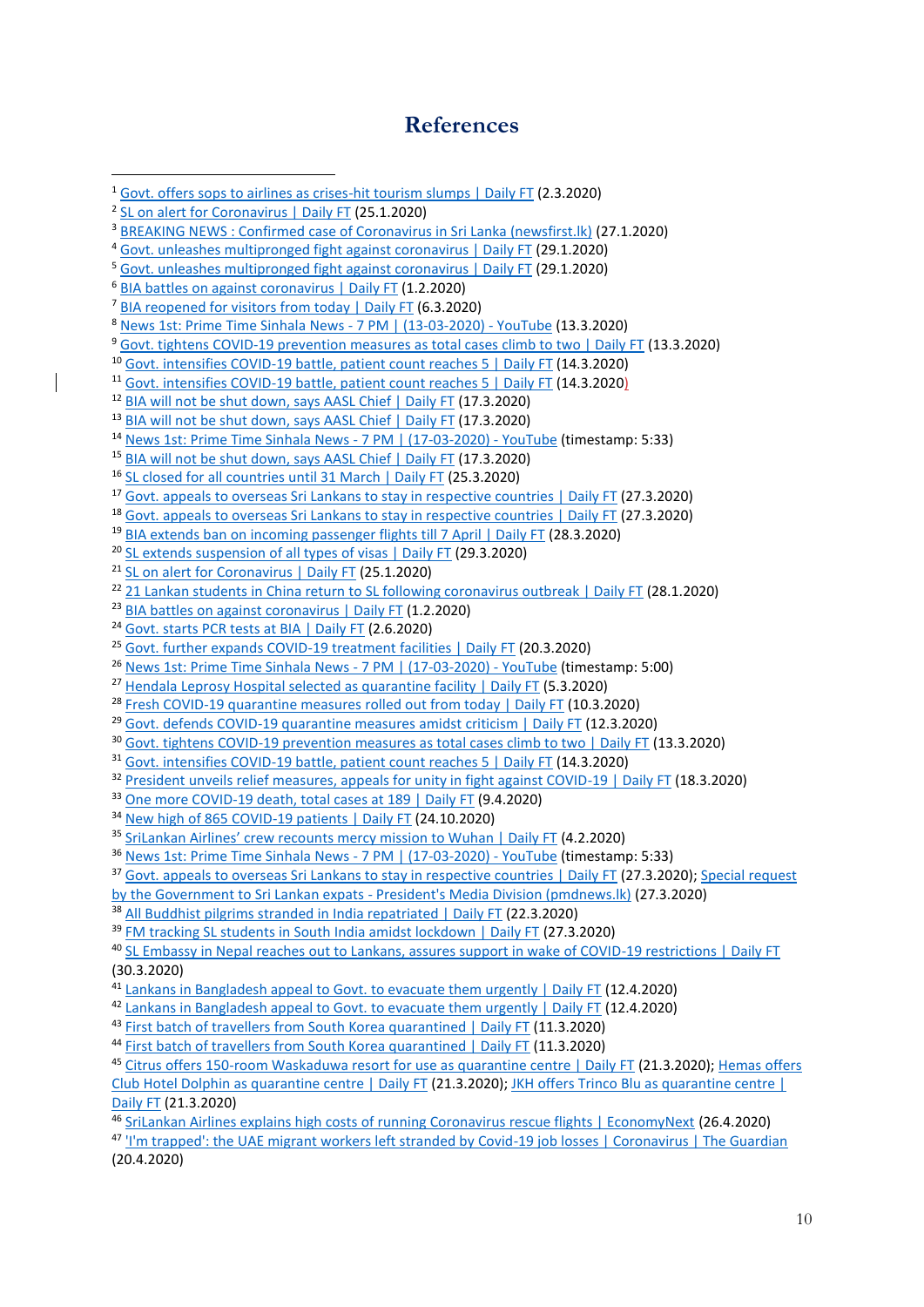#### **References**

 [Govt. offers sops to airlines as crises-hit tourism slumps | Daily FT](https://www.ft.lk/top-story/Govt-offers-sops-to-airlines-as-crises-hit-tourism-slumps/26-696723) (2.3.2020) <sup>2</sup> [SL on alert for Coronavirus | Daily FT](https://www.ft.lk/front-page/SL-on-alert-for-Coronavirus/44-694364) (25.1.2020) [BREAKING NEWS : Confirmed case of Coronavirus in Sri Lanka \(newsfirst.lk\)](https://www.newsfirst.lk/2020/01/27/breaking-news-confirmed-case-of-coronavirus-in-sri-lanka/) (27.1.2020) [Govt. unleashes multipronged fight against coronavirus | Daily FT](https://www.ft.lk/top-story/Govt-unleashes-multipronged-fight-against-coronavirus/26-694627) (29.1.2020) [Govt. unleashes multipronged fight against coronavirus | Daily FT](https://www.ft.lk/top-story/Govt-unleashes-multipronged-fight-against-coronavirus/26-694627) (29.1.2020) [BIA battles on against coronavirus | Daily FT](https://www.ft.lk/Front-Page/BIA-battles-on-against-coronavirus/44-694841) (1.2.2020) [BIA reopened for visitors from today | Daily FT](https://www.ft.lk/front-page/BIA-reopened-for-visitors-from-today/44-696984) (6.3.2020) [News 1st: Prime Time Sinhala News -](https://www.youtube.com/watch?v=KbgMQxughIk) 7 PM | (13-03-2020) - YouTube (13.3.2020) [Govt. tightens COVID-19 prevention measures as total cases climb to two | Daily FT](https://www.ft.lk/top-story/Govt-tightens-COVID-19-prevention-measures-as-total-cases-climb-to-two/26-697448) (13.3.2020) [Govt. intensifies COVID-19 battle, patient count reaches 5 | Daily FT](https://www.ft.lk/top-story/Govt-intensifies-COVID-19-battle-patient-count-reaches-5/26-697504) (14.3.2020) [Govt. intensifies COVID-19 battle, patient count reaches 5 | Daily FT](https://www.ft.lk/top-story/Govt-intensifies-COVID-19-battle-patient-count-reaches-5/26-697504) (14.3.2020) [BIA will not be shut down, says AASL Chief | Daily FT](https://www.ft.lk/news/BIA-will-not-be-shut-down-says-AASL-Chief/56-697615) (17.3.2020) <sup>13</sup> [BIA will not be shut down, says AASL Chief | Daily FT](https://www.ft.lk/news/BIA-will-not-be-shut-down-says-AASL-Chief/56-697615) (17.3.2020) [News 1st: Prime Time Sinhala News -](https://www.youtube.com/watch?v=CCBSpWMH0Xk) 7 PM | (17-03-2020) - YouTube (timestamp: 5:33) <sup>15</sup> [BIA will not be shut down, says AASL Chief | Daily FT](https://www.ft.lk/news/BIA-will-not-be-shut-down-says-AASL-Chief/56-697615) (17.3.2020) [SL closed for all countries until 31 March | Daily FT](https://www.ft.lk/breaking_news/SL-closed-for-all-countries-until-31-March/10526-698016) (25.3.2020) [Govt. appeals to overseas Sri Lankans to stay in respective countries | Daily FT](https://www.ft.lk/breaking_news/Govt-appeals-to-overseas-Sri-Lankans-to-stay-in-respective-countries/10526-698128) (27.3.2020) [Govt. appeals to overseas Sri Lankans to stay in respective countries | Daily FT](https://www.ft.lk/breaking_news/Govt-appeals-to-overseas-Sri-Lankans-to-stay-in-respective-countries/10526-698128) (27.3.2020) [BIA extends ban on incoming passenger flights till 7 April | Daily FT](https://www.ft.lk/breaking_news/BIA-extends-ban-on-incoming-passenger-flights-till-7-April/10526-698179) (28.3.2020) <sup>20</sup> [SL extends suspension of all types of visas | Daily FT](https://www.ft.lk/breaking_news/SL-extends-suspension-of-all-types-of-visas/10526-698184) (29.3.2020) [SL on alert for Coronavirus | Daily FT](https://www.ft.lk/front-page/SL-on-alert-for-Coronavirus/44-694364) (25.1.2020) <sup>22</sup> [21 Lankan students in China return to SL following coronavirus outbreak | Daily FT](https://www.ft.lk/News/21-Lankan-students-in-China-return-to-SL-following-coronavirus-outbreak/56-694509) (28.1.2020) <sup>23</sup> [BIA battles on against coronavirus | Daily FT](https://www.ft.lk/Front-Page/BIA-battles-on-against-coronavirus/44-694841) (1.2.2020) [Govt. starts PCR tests at BIA | Daily FT](https://www.ft.lk/front-page/Govt-starts-PCR-tests-at-BIA/44-701037) (2.6.2020) [Govt. further expands COVID-19 treatment facilities | Daily FT](https://www.ft.lk/News/Govt-further-expands-COVID-19-treatment-facilities/56-697826) (20.3.2020) [News 1st: Prime Time Sinhala News -](https://www.youtube.com/watch?v=CCBSpWMH0Xk) 7 PM | (17-03-2020) - YouTube (timestamp: 5:00) <sup>27</sup> [Hendala Leprosy Hospital selected as quarantine facility | Daily FT](https://www.ft.lk/News/Hendala-Leprosy-Hospital-selected-as-quarantine-facility/56-696963) (5.3.2020) <sup>28</sup> [Fresh COVID-19 quarantine measures rolled out from today | Daily FT](https://www.ft.lk/Front-Page/Fresh-COVID-19-quarantine-measures-rolled-out-from-today/44-697196) (10.3.2020) [Govt. defends COVID-19 quarantine measures amidst criticism | Daily FT](https://www.ft.lk/news/Govt-defends-COVID-19-quarantine-measures-amidst-criticism/56-697347) (12.3.2020) [Govt. tightens COVID-19 prevention measures as total cases climb to two | Daily FT](https://www.ft.lk/top-story/Govt-tightens-COVID-19-prevention-measures-as-total-cases-climb-to-two/26-697448) (13.3.2020) [Govt. intensifies COVID-19 battle, patient count reaches 5 | Daily FT](https://www.ft.lk/top-story/Govt-intensifies-COVID-19-battle-patient-count-reaches-5/26-697504) (14.3.2020) <sup>32</sup> [President unveils relief measures, appeals for unity in fight against COVID-19 | Daily FT](https://www.ft.lk/Front-Page/President-unveils-relief-measures-appeals-for-unity-in-fight-against-COVID-19/44-697719) (18.3.2020) [One more COVID-19 death, total cases at 189 | Daily FT](https://www.ft.lk/front-page/One-more-COVID-19-death-total-cases-at-189/44-698694) (9.4.2020) <sup>34</sup> [New high of 865 COVID-19 patients | Daily FT](https://www.ft.lk/top-story/New-high-of-865-COVID-19-patients/26-707992) (24.10.2020) [SriLankan Airlines' crew recounts mercy mission to Wuhan | Daily FT](https://www.ft.lk/News/SriLankan-Airlines-crew-recounts-mercy-mission-to-Wuhan/56-694982) (4.2.2020) [News 1st: Prime Time Sinhala News -](https://www.youtube.com/watch?v=CCBSpWMH0Xk) 7 PM | (17-03-2020) - YouTube (timestamp: 5:33) <sup>37</sup> [Govt. appeals to overseas Sri Lankans to stay in respective countries | Daily FT](https://www.ft.lk/breaking_news/Govt-appeals-to-overseas-Sri-Lankans-to-stay-in-respective-countries/10526-698128) (27.3.2020); Special request [by the Government to Sri Lankan expats -](https://www.pmdnews.lk/%E0%B6%B8%E0%B7%80%E0%B7%8A%E0%B6%B6%E0%B7%92%E0%B6%B8%E0%B6%A7-%E0%B6%B4%E0%B7%90%E0%B6%B8%E0%B7%92%E0%B6%AB%E0%B7%92%E0%B6%B8%E0%B7%9A-%E0%B6%85%E0%B6%B4%E0%B7%9A%E0%B6%9A%E0%B7%8A%E0%B7%82%E0%B7%8F/) President's Media Division (pmdnews.lk) (27.3.2020) [All Buddhist pilgrims stranded in India repatriated | Daily FT](https://www.ft.lk/news/All-Buddhist-pilgrims-stranded-in-India-repatriated/56-697907) (22.3.2020) [FM tracking SL students in South India amidst lockdown | Daily FT](https://www.ft.lk/breaking_news/FM-tracking-SL-students-in-South-India-amidst-lockdown/10526-698127) (27.3.2020) [SL Embassy in Nepal reaches out to Lankans, assures support in wake of COVID-19 restrictions | Daily FT](https://www.ft.lk/breaking_news/SL-Embassy-in-Nepal-reaches-out-to-Lankans--assures-support-in-wake-of-COVID-19-restrictions/10526-698238) (30.3.2020) [Lankans in Bangladesh appeal to Govt. to evacuate them urgently | Daily FT](https://www.ft.lk/breaking_news/Lankans-in-Bangladesh-appeal-to-Govt--to-evacuate-them-urgently/10526-698813) (12.4.2020) <sup>42</sup> [Lankans in Bangladesh appeal to Govt. to evacuate them urgently | Daily FT](https://www.ft.lk/breaking_news/Lankans-in-Bangladesh-appeal-to-Govt--to-evacuate-them-urgently/10526-698813) (12.4.2020) <sup>43</sup> [First batch of travellers from South Korea quarantined | Daily FT](https://www.ft.lk/news/First-batch-of-travellers-from-South-Korea-quarantined/56-697279) (11.3.2020) <sup>44</sup> [First batch of travellers from South Korea quarantined | Daily FT](https://www.ft.lk/news/First-batch-of-travellers-from-South-Korea-quarantined/56-697279) (11.3.2020) [Citrus offers 150-room Waskaduwa resort for use as quarantine centre | Daily FT](https://www.ft.lk/news/Citrus-offers-150-room-Waskaduwa-resort-for-use-as-quarantine-centre/56-697894) (21.3.2020); [Hemas offers](https://www.ft.lk/breakingnews/Hemas-offers-Club-Hotel-Dolphin-as-quarantine-centre/10526-697896)  [Club Hotel Dolphin as quarantine centre | Daily FT](https://www.ft.lk/breakingnews/Hemas-offers-Club-Hotel-Dolphin-as-quarantine-centre/10526-697896) (21.3.2020)[; JKH offers Trinco Blu as quarantine centre |](https://www.ft.lk/breaking_news/JKH-offers-Trinco-Blu-as-quarantine-centre/10526-697901)  [Daily FT](https://www.ft.lk/breaking_news/JKH-offers-Trinco-Blu-as-quarantine-centre/10526-697901) (21.3.2020) [SriLankan Airlines explains high costs of running Coronavirus rescue flights | EconomyNext](https://economynext.com/srilankan-airlines-explains-high-costs-of-running-coronavirus-rescue-flights-68511/) (26.4.2020) ['I'm trapped': the UAE migrant workers left stranded by Covid-19 job losses | Coronavirus | The Guardian](https://www.theguardian.com/global-development/2020/apr/20/im-trapped-the-uae-migrant-workers-left-stranded-by-covid-19-job-losses) (20.4.2020)